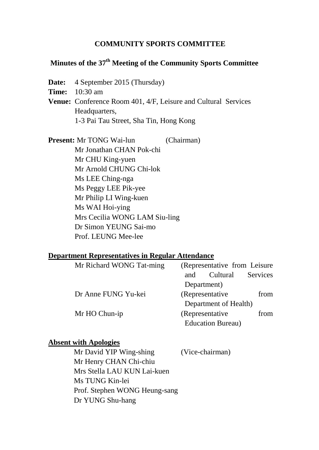#### **COMMUNITY SPORTS COMMITTEE**

## **Minutes of the 37th Meeting of the Community Sports Committee**

**Date:** 4 September 2015 (Thursday)

**Time:** 10:30 am

**Venue:** Conference Room 401, 4/F, Leisure and Cultural Services Headquarters, 1-3 Pai Tau Street, Sha Tin, Hong Kong

**Present:** Mr TONG Wai-lun (Chairman) Mr Jonathan CHAN Pok-chi Mr CHU King-yuen Mr Arnold CHUNG Chi-lok Ms LEE Ching-nga Ms Peggy LEE Pik-yee Mr Philip LI Wing-kuen Ms WAI Hoi-ying Mrs Cecilia WONG LAM Siu-ling Dr Simon YEUNG Sai-mo Prof. LEUNG Mee-lee

#### **Department Representatives in Regular Attendance**

| Mr Richard WONG Tat-ming |  | (Representative from Leisure) |                           |          |
|--------------------------|--|-------------------------------|---------------------------|----------|
|                          |  | and                           | Cultural                  | Services |
|                          |  | Department)                   |                           |          |
| Dr Anne FUNG Yu-kei      |  | (Representative)              |                           | from     |
|                          |  |                               | Department of Health)     |          |
| Mr HO Chun-ip            |  |                               | (Representative)          | from     |
|                          |  |                               | <b>Education Bureau</b> ) |          |

#### **Absent with Apologies**

| Mr David YIP Wing-shing       | (Vice-chairman) |
|-------------------------------|-----------------|
| Mr Henry CHAN Chi-chiu        |                 |
| Mrs Stella LAU KUN Lai-kuen   |                 |
| Ms TUNG Kin-lei               |                 |
| Prof. Stephen WONG Heung-sang |                 |
| Dr YUNG Shu-hang              |                 |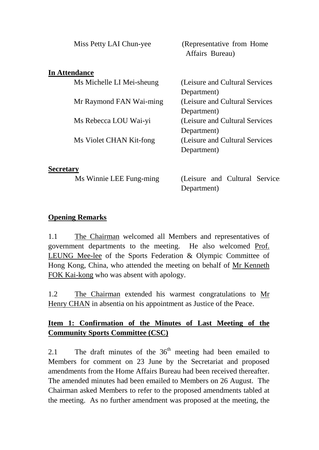| Miss Petty LAI Chun-yee   | (Representative from Home)<br>Affairs Bureau) |
|---------------------------|-----------------------------------------------|
| <b>In Attendance</b>      |                                               |
| Ms Michelle LI Mei-sheung | (Leisure and Cultural Services                |
|                           | Department)                                   |
| Mr Raymond FAN Wai-ming   | (Leisure and Cultural Services                |
|                           | Department)                                   |
| Ms Rebecca LOU Wai-yi     | (Leisure and Cultural Services                |
|                           | Department)                                   |
| Ms Violet CHAN Kit-fong   | (Leisure and Cultural Services                |
|                           | Department)                                   |
|                           |                                               |

#### **Secretary**

Ms Winnie LEE Fung-ming (Leisure and Cultural Service Department)

### **Opening Remarks**

1.1 The Chairman welcomed all Members and representatives of government departments to the meeting. He also welcomed Prof. LEUNG Mee-lee of the Sports Federation & Olympic Committee of Hong Kong, China, who attended the meeting on behalf of Mr Kenneth FOK Kai-kong who was absent with apology.

1.2 The Chairman extended his warmest congratulations to Mr Henry CHAN in absentia on his appointment as Justice of the Peace.

# **Item 1: Confirmation of the Minutes of Last Meeting of the Community Sports Committee (CSC)**

2.1 The draft minutes of the  $36<sup>th</sup>$  meeting had been emailed to Members for comment on 23 June by the Secretariat and proposed amendments from the Home Affairs Bureau had been received thereafter. The amended minutes had been emailed to Members on 26 August. The Chairman asked Members to refer to the proposed amendments tabled at the meeting. As no further amendment was proposed at the meeting, the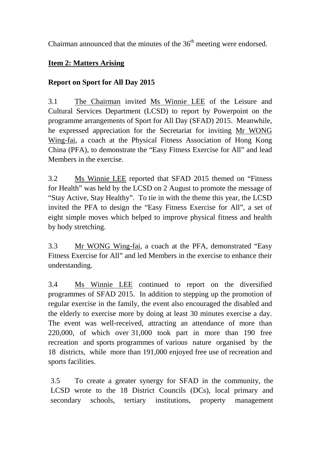Chairman announced that the minutes of the  $36<sup>th</sup>$  meeting were endorsed.

## **Item 2: Matters Arising**

### **Report on Sport for All Day 2015**

3.1 The Chairman invited Ms Winnie LEE of the Leisure and Cultural Services Department (LCSD) to report by Powerpoint on the programme arrangements of Sport for All Day (SFAD) 2015. Meanwhile, he expressed appreciation for the Secretariat for inviting Mr WONG Wing-fai, a coach at the Physical Fitness Association of Hong Kong China (PFA), to demonstrate the "Easy Fitness Exercise for All" and lead Members in the exercise.

3.2 Ms Winnie LEE reported that SFAD 2015 themed on "Fitness for Health" was held by the LCSD on 2 August to promote the message of "Stay Active, Stay Healthy". To tie in with the theme this year, the LCSD invited the PFA to design the "Easy Fitness Exercise for All", a set of eight simple moves which helped to improve physical fitness and health by body stretching.

3.3 Mr WONG Wing-fai, a coach at the PFA, demonstrated "Easy Fitness Exercise for All" and led Members in the exercise to enhance their understanding.

3.4 Ms Winnie LEE continued to report on the diversified programmes of SFAD 2015. In addition to stepping up the promotion of regular exercise in the family, the event also encouraged the disabled and the elderly to exercise more by doing at least 30 minutes exercise a day. The event was well-received, attracting an attendance of more than 220,000, of which over 31,000 took part in more than 190 free recreation and sports programmes of various nature organised by the 18 districts, while more than 191,000 enjoyed free use of recreation and sports facilities.

3.5 To create a greater synergy for SFAD in the community, the LCSD wrote to the 18 District Councils (DCs), local primary and secondary schools, tertiary institutions, property management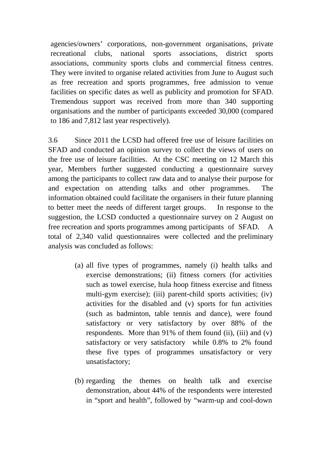agencies/owners' corporations, non-government organisations, private recreational clubs, national sports associations, district sports associations, community sports clubs and commercial fitness centres. They were invited to organise related activities from June to August such as free recreation and sports programmes, free admission to venue facilities on specific dates as well as publicity and promotion for SFAD. Tremendous support was received from more than 340 supporting organisations and the number of participants exceeded 30,000 (compared to 186 and 7,812 last year respectively).

3.6 Since 2011 the LCSD had offered free use of leisure facilities on SFAD and conducted an opinion survey to collect the views of users on the free use of leisure facilities. At the CSC meeting on 12 March this year, Members further suggested conducting a questionnaire survey among the participants to collect raw data and to analyse their purpose for and expectation on attending talks and other programmes. The information obtained could facilitate the organisers in their future planning to better meet the needs of different target groups. In response to the suggestion, the LCSD conducted a questionnaire survey on 2 August on free recreation and sports programmes among participants of SFAD. A total of 2,340 valid questionnaires were collected and the preliminary analysis was concluded as follows:

- (a) all five types of programmes, namely (i) health talks and exercise demonstrations; (ii) fitness corners (for activities such as towel exercise, hula hoop fitness exercise and fitness multi-gym exercise); (iii) parent-child sports activities; (iv) activities for the disabled and (v) sports for fun activities (such as badminton, table tennis and dance), were found satisfactory or very satisfactory by over 88% of the respondents. More than 91% of them found (ii), (iii) and (v) satisfactory or very satisfactory while 0.8% to 2% found these five types of programmes unsatisfactory or very unsatisfactory;
- (b) regarding the themes on health talk and exercise demonstration, about 44% of the respondents were interested in "sport and health", followed by "warm-up and cool-down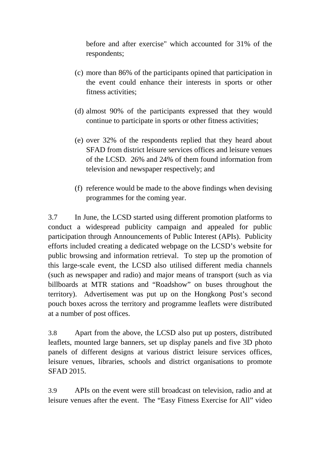before and after exercise" which accounted for 31% of the respondents;

- (c) more than 86% of the participants opined that participation in the event could enhance their interests in sports or other fitness activities;
- (d) almost 90% of the participants expressed that they would continue to participate in sports or other fitness activities;
- (e) over 32% of the respondents replied that they heard about SFAD from district leisure services offices and leisure venues of the LCSD. 26% and 24% of them found information from television and newspaper respectively; and
- (f) reference would be made to the above findings when devising programmes for the coming year.

3.7 In June, the LCSD started using different promotion platforms to conduct a widespread publicity campaign and appealed for public participation through Announcements of Public Interest (APIs). Publicity efforts included creating a dedicated webpage on the LCSD's website for public browsing and information retrieval. To step up the promotion of this large-scale event, the LCSD also utilised different media channels (such as newspaper and radio) and major means of transport (such as via billboards at MTR stations and "Roadshow" on buses throughout the territory). Advertisement was put up on the Hongkong Post's second pouch boxes across the territory and programme leaflets were distributed at a number of post offices.

3.8 Apart from the above, the LCSD also put up posters, distributed leaflets, mounted large banners, set up display panels and five 3D photo panels of different designs at various district leisure services offices, leisure venues, libraries, schools and district organisations to promote SFAD 2015.

3.9 APIs on the event were still broadcast on television, radio and at leisure venues after the event. The "Easy Fitness Exercise for All" video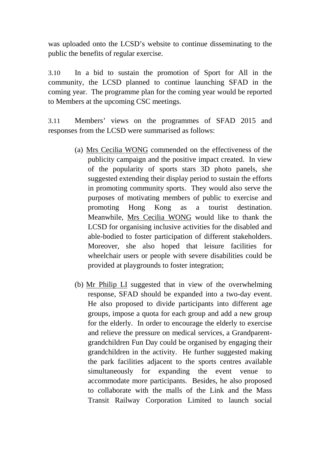was uploaded onto the LCSD's website to continue disseminating to the public the benefits of regular exercise.

3.10 In a bid to sustain the promotion of Sport for All in the community, the LCSD planned to continue launching SFAD in the coming year. The programme plan for the coming year would be reported to Members at the upcoming CSC meetings.

3.11 Members' views on the programmes of SFAD 2015 and responses from the LCSD were summarised as follows:

- (a) Mrs Cecilia WONG commended on the effectiveness of the publicity campaign and the positive impact created. In view of the popularity of sports stars 3D photo panels, she suggested extending their display period to sustain the efforts in promoting community sports. They would also serve the purposes of motivating members of public to exercise and promoting Hong Kong as a tourist destination. Meanwhile, Mrs Cecilia WONG would like to thank the LCSD for organising inclusive activities for the disabled and able-bodied to foster participation of different stakeholders. Moreover, she also hoped that leisure facilities for wheelchair users or people with severe disabilities could be provided at playgrounds to foster integration;
- (b) Mr Philip LI suggested that in view of the overwhelming response, SFAD should be expanded into a two-day event. He also proposed to divide participants into different age groups, impose a quota for each group and add a new group for the elderly. In order to encourage the elderly to exercise and relieve the pressure on medical services, a Grandparentgrandchildren Fun Day could be organised by engaging their grandchildren in the activity. He further suggested making the park facilities adjacent to the sports centres available simultaneously for expanding the event venue to accommodate more participants. Besides, he also proposed to collaborate with the malls of the Link and the Mass Transit Railway Corporation Limited to launch social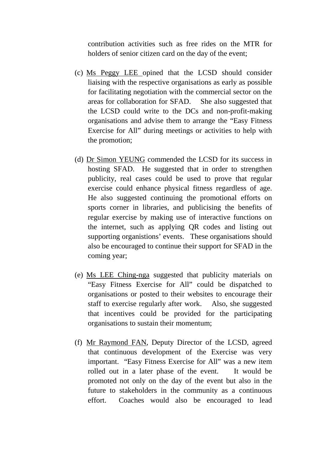contribution activities such as free rides on the MTR for holders of senior citizen card on the day of the event;

- (c) Ms Peggy LEE opined that the LCSD should consider liaising with the respective organisations as early as possible for facilitating negotiation with the commercial sector on the areas for collaboration for SFAD. She also suggested that the LCSD could write to the DCs and non-profit-making organisations and advise them to arrange the "Easy Fitness Exercise for All" during meetings or activities to help with the promotion;
- (d) Dr Simon YEUNG commended the LCSD for its success in hosting SFAD. He suggested that in order to strengthen publicity, real cases could be used to prove that regular exercise could enhance physical fitness regardless of age. He also suggested continuing the promotional efforts on sports corner in libraries, and publicising the benefits of regular exercise by making use of interactive functions on the internet, such as applying QR codes and listing out supporting organistions' events. These organisations should also be encouraged to continue their support for SFAD in the coming year;
- (e) Ms LEE Ching-nga suggested that publicity materials on "Easy Fitness Exercise for All" could be dispatched to organisations or posted to their websites to encourage their staff to exercise regularly after work. Also, she suggested that incentives could be provided for the participating organisations to sustain their momentum;
- (f) Mr Raymond FAN, Deputy Director of the LCSD, agreed that continuous development of the Exercise was very important. "Easy Fitness Exercise for All" was a new item rolled out in a later phase of the event. It would be promoted not only on the day of the event but also in the future to stakeholders in the community as a continuous effort. Coaches would also be encouraged to lead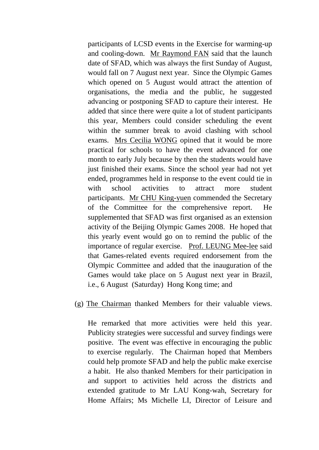participants of LCSD events in the Exercise for warming-up and cooling-down. Mr Raymond FAN said that the launch date of SFAD, which was always the first Sunday of August, would fall on 7 August next year. Since the Olympic Games which opened on 5 August would attract the attention of organisations, the media and the public, he suggested advancing or postponing SFAD to capture their interest. He added that since there were quite a lot of student participants this year, Members could consider scheduling the event within the summer break to avoid clashing with school exams. Mrs Cecilia WONG opined that it would be more practical for schools to have the event advanced for one month to early July because by then the students would have just finished their exams. Since the school year had not yet ended, programmes held in response to the event could tie in with school activities to attract more student participants. Mr CHU King-yuen commended the Secretary of the Committee for the comprehensive report. He supplemented that SFAD was first organised as an extension activity of the Beijing Olympic Games 2008. He hoped that this yearly event would go on to remind the public of the importance of regular exercise. Prof. LEUNG Mee-lee said that Games-related events required endorsement from the Olympic Committee and added that the inauguration of the Games would take place on 5 August next year in Brazil, i.e., 6 August (Saturday) Hong Kong time; and

(g) The Chairman thanked Members for their valuable views.

He remarked that more activities were held this year. Publicity strategies were successful and survey findings were positive. The event was effective in encouraging the public to exercise regularly. The Chairman hoped that Members could help promote SFAD and help the public make exercise a habit. He also thanked Members for their participation in and support to activities held across the districts and extended gratitude to Mr LAU Kong-wah, Secretary for Home Affairs; Ms Michelle LI, Director of Leisure and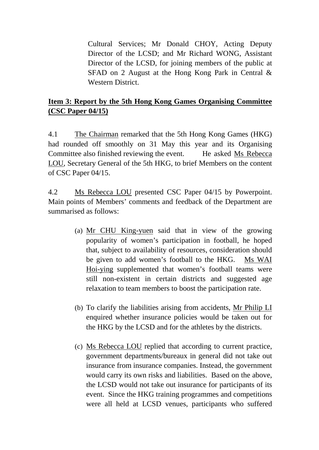Cultural Services; Mr Donald CHOY, Acting Deputy Director of the LCSD; and Mr Richard WONG, Assistant Director of the LCSD, for joining members of the public at SFAD on 2 August at the Hong Kong Park in Central & Western District.

# **Item 3: Report by the 5th Hong Kong Games Organising Committee (CSC Paper 04/15)**

4.1 The Chairman remarked that the 5th Hong Kong Games (HKG) had rounded off smoothly on 31 May this year and its Organising Committee also finished reviewing the event. He asked Ms Rebecca LOU, Secretary General of the 5th HKG, to brief Members on the content of CSC Paper 04/15.

4.2 Ms Rebecca LOU presented CSC Paper 04/15 by Powerpoint. Main points of Members' comments and feedback of the Department are summarised as follows:

- (a) Mr CHU King-yuen said that in view of the growing popularity of women's participation in football, he hoped that, subject to availability of resources, consideration should be given to add women's football to the HKG. Ms WAI Hoi-ying supplemented that women's football teams were still non-existent in certain districts and suggested age relaxation to team members to boost the participation rate.
- (b) To clarify the liabilities arising from accidents, Mr Philip LI enquired whether insurance policies would be taken out for the HKG by the LCSD and for the athletes by the districts.
- (c) Ms Rebecca LOU replied that according to current practice, government departments/bureaux in general did not take out insurance from insurance companies. Instead, the government would carry its own risks and liabilities. Based on the above, the LCSD would not take out insurance for participants of its event. Since the HKG training programmes and competitions were all held at LCSD venues, participants who suffered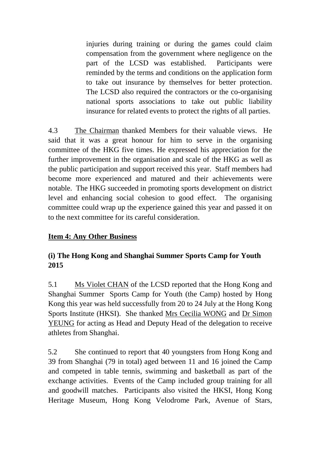injuries during training or during the games could claim compensation from the government where negligence on the part of the LCSD was established. Participants were reminded by the terms and conditions on the application form to take out insurance by themselves for better protection. The LCSD also required the contractors or the co-organising national sports associations to take out public liability insurance for related events to protect the rights of all parties.

4.3 The Chairman thanked Members for their valuable views. He said that it was a great honour for him to serve in the organising committee of the HKG five times. He expressed his appreciation for the further improvement in the organisation and scale of the HKG as well as the public participation and support received this year. Staff members had become more experienced and matured and their achievements were notable. The HKG succeeded in promoting sports development on district level and enhancing social cohesion to good effect. The organising committee could wrap up the experience gained this year and passed it on to the next committee for its careful consideration.

### **Item 4: Any Other Business**

## **(i) The Hong Kong and Shanghai Summer Sports Camp for Youth 2015**

5.1 Ms Violet CHAN of the LCSD reported that the Hong Kong and Shanghai Summer Sports Camp for Youth (the Camp) hosted by Hong Kong this year was held successfully from 20 to 24 July at the Hong Kong Sports Institute (HKSI). She thanked Mrs Cecilia WONG and Dr Simon YEUNG for acting as Head and Deputy Head of the delegation to receive athletes from Shanghai.

5.2 She continued to report that 40 youngsters from Hong Kong and 39 from Shanghai (79 in total) aged between 11 and 16 joined the Camp and competed in table tennis, swimming and basketball as part of the exchange activities. Events of the Camp included group training for all and goodwill matches. Participants also visited the HKSI, Hong Kong Heritage Museum, Hong Kong Velodrome Park, Avenue of Stars,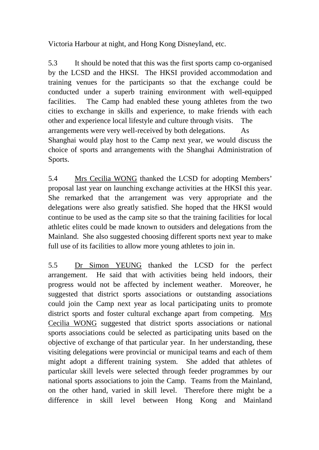Victoria Harbour at night, and Hong Kong Disneyland, etc.

5.3 It should be noted that this was the first sports camp co-organised by the LCSD and the HKSI. The HKSI provided accommodation and training venues for the participants so that the exchange could be conducted under a superb training environment with well-equipped facilities. The Camp had enabled these young athletes from the two cities to exchange in skills and experience, to make friends with each other and experience local lifestyle and culture through visits. The arrangements were very well-received by both delegations. As Shanghai would play host to the Camp next year, we would discuss the choice of sports and arrangements with the Shanghai Administration of Sports.

5.4 Mrs Cecilia WONG thanked the LCSD for adopting Members' proposal last year on launching exchange activities at the HKSI this year. She remarked that the arrangement was very appropriate and the delegations were also greatly satisfied. She hoped that the HKSI would continue to be used as the camp site so that the training facilities for local athletic elites could be made known to outsiders and delegations from the Mainland. She also suggested choosing different sports next year to make full use of its facilities to allow more young athletes to join in.

5.5 Dr Simon YEUNG thanked the LCSD for the perfect arrangement. He said that with activities being held indoors, their progress would not be affected by inclement weather. Moreover, he suggested that district sports associations or outstanding associations could join the Camp next year as local participating units to promote district sports and foster cultural exchange apart from competing. Mrs Cecilia WONG suggested that district sports associations or national sports associations could be selected as participating units based on the objective of exchange of that particular year. In her understanding, these visiting delegations were provincial or municipal teams and each of them might adopt a different training system. She added that athletes of particular skill levels were selected through feeder programmes by our national sports associations to join the Camp. Teams from the Mainland, on the other hand, varied in skill level. Therefore there might be a difference in skill level between Hong Kong and Mainland